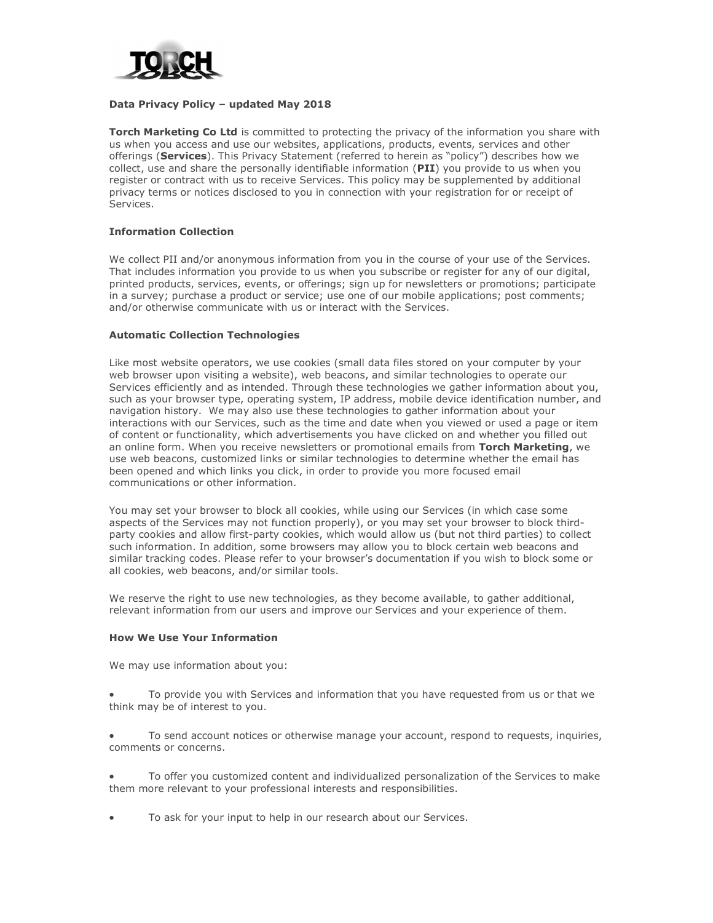

#### Data Privacy Policy – updated May 2018

**Torch Marketing Co Ltd** is committed to protecting the privacy of the information you share with us when you access and use our websites, applications, products, events, services and other offerings (Services). This Privacy Statement (referred to herein as "policy") describes how we collect, use and share the personally identifiable information (PII) you provide to us when you register or contract with us to receive Services. This policy may be supplemented by additional privacy terms or notices disclosed to you in connection with your registration for or receipt of Services.

# Information Collection

We collect PII and/or anonymous information from you in the course of your use of the Services. That includes information you provide to us when you subscribe or register for any of our digital, printed products, services, events, or offerings; sign up for newsletters or promotions; participate in a survey; purchase a product or service; use one of our mobile applications; post comments; and/or otherwise communicate with us or interact with the Services.

#### Automatic Collection Technologies

Like most website operators, we use cookies (small data files stored on your computer by your web browser upon visiting a website), web beacons, and similar technologies to operate our Services efficiently and as intended. Through these technologies we gather information about you, such as your browser type, operating system, IP address, mobile device identification number, and navigation history. We may also use these technologies to gather information about your interactions with our Services, such as the time and date when you viewed or used a page or item of content or functionality, which advertisements you have clicked on and whether you filled out an online form. When you receive newsletters or promotional emails from Torch Marketing, we use web beacons, customized links or similar technologies to determine whether the email has been opened and which links you click, in order to provide you more focused email communications or other information.

You may set your browser to block all cookies, while using our Services (in which case some aspects of the Services may not function properly), or you may set your browser to block thirdparty cookies and allow first-party cookies, which would allow us (but not third parties) to collect such information. In addition, some browsers may allow you to block certain web beacons and similar tracking codes. Please refer to your browser's documentation if you wish to block some or all cookies, web beacons, and/or similar tools.

We reserve the right to use new technologies, as they become available, to gather additional, relevant information from our users and improve our Services and your experience of them.

#### How We Use Your Information

We may use information about you:

- To provide you with Services and information that you have requested from us or that we think may be of interest to you.
- To send account notices or otherwise manage your account, respond to requests, inquiries, comments or concerns.
- To offer you customized content and individualized personalization of the Services to make them more relevant to your professional interests and responsibilities.
- To ask for your input to help in our research about our Services.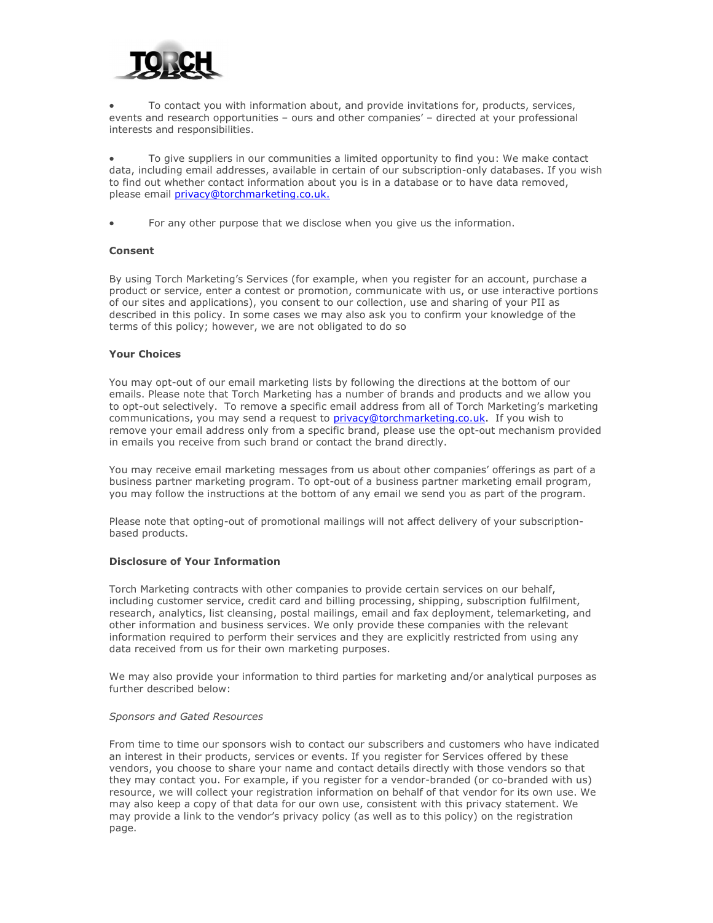

 To contact you with information about, and provide invitations for, products, services, events and research opportunities – ours and other companies' – directed at your professional interests and responsibilities.

 To give suppliers in our communities a limited opportunity to find you: We make contact data, including email addresses, available in certain of our subscription-only databases. If you wish to find out whether contact information about you is in a database or to have data removed, please email privacy@torchmarketing.co.uk.

For any other purpose that we disclose when you give us the information.

## Consent

By using Torch Marketing's Services (for example, when you register for an account, purchase a product or service, enter a contest or promotion, communicate with us, or use interactive portions of our sites and applications), you consent to our collection, use and sharing of your PII as described in this policy. In some cases we may also ask you to confirm your knowledge of the terms of this policy; however, we are not obligated to do so

#### Your Choices

You may opt-out of our email marketing lists by following the directions at the bottom of our emails. Please note that Torch Marketing has a number of brands and products and we allow you to opt-out selectively. To remove a specific email address from all of Torch Marketing's marketing communications, you may send a request to privacy@torchmarketing.co.uk. If you wish to remove your email address only from a specific brand, please use the opt-out mechanism provided in emails you receive from such brand or contact the brand directly.

You may receive email marketing messages from us about other companies' offerings as part of a business partner marketing program. To opt-out of a business partner marketing email program, you may follow the instructions at the bottom of any email we send you as part of the program.

Please note that opting-out of promotional mailings will not affect delivery of your subscriptionbased products.

## Disclosure of Your Information

Torch Marketing contracts with other companies to provide certain services on our behalf, including customer service, credit card and billing processing, shipping, subscription fulfilment, research, analytics, list cleansing, postal mailings, email and fax deployment, telemarketing, and other information and business services. We only provide these companies with the relevant information required to perform their services and they are explicitly restricted from using any data received from us for their own marketing purposes.

We may also provide your information to third parties for marketing and/or analytical purposes as further described below:

#### Sponsors and Gated Resources

From time to time our sponsors wish to contact our subscribers and customers who have indicated an interest in their products, services or events. If you register for Services offered by these vendors, you choose to share your name and contact details directly with those vendors so that they may contact you. For example, if you register for a vendor-branded (or co-branded with us) resource, we will collect your registration information on behalf of that vendor for its own use. We may also keep a copy of that data for our own use, consistent with this privacy statement. We may provide a link to the vendor's privacy policy (as well as to this policy) on the registration page.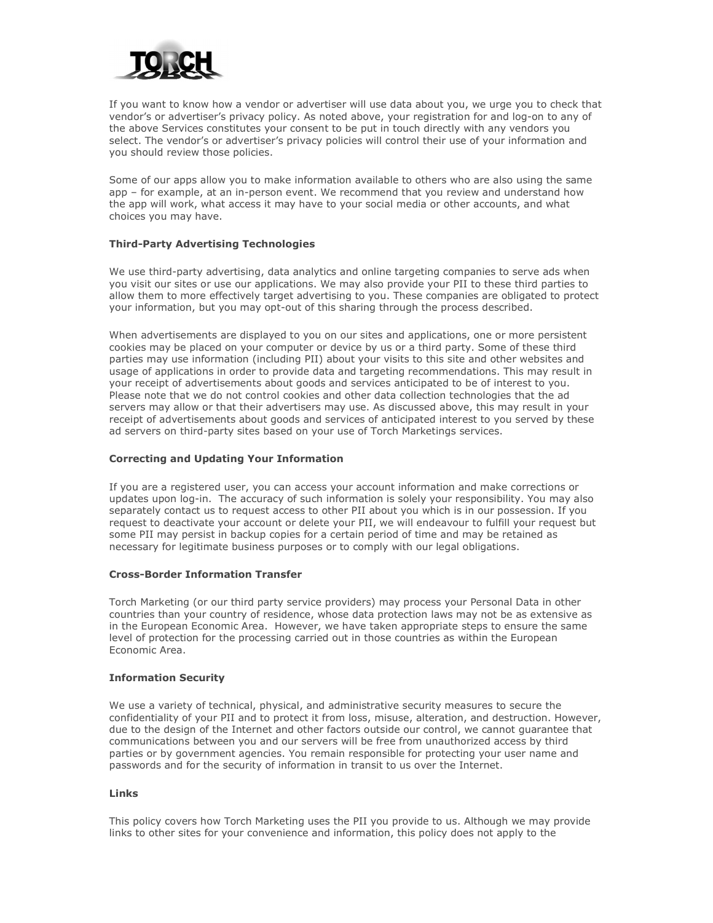

If you want to know how a vendor or advertiser will use data about you, we urge you to check that vendor's or advertiser's privacy policy. As noted above, your registration for and log-on to any of the above Services constitutes your consent to be put in touch directly with any vendors you select. The vendor's or advertiser's privacy policies will control their use of your information and you should review those policies.

Some of our apps allow you to make information available to others who are also using the same app – for example, at an in-person event. We recommend that you review and understand how the app will work, what access it may have to your social media or other accounts, and what choices you may have.

## Third-Party Advertising Technologies

We use third-party advertising, data analytics and online targeting companies to serve ads when you visit our sites or use our applications. We may also provide your PII to these third parties to allow them to more effectively target advertising to you. These companies are obligated to protect your information, but you may opt-out of this sharing through the process described.

When advertisements are displayed to you on our sites and applications, one or more persistent cookies may be placed on your computer or device by us or a third party. Some of these third parties may use information (including PII) about your visits to this site and other websites and usage of applications in order to provide data and targeting recommendations. This may result in your receipt of advertisements about goods and services anticipated to be of interest to you. Please note that we do not control cookies and other data collection technologies that the ad servers may allow or that their advertisers may use. As discussed above, this may result in your receipt of advertisements about goods and services of anticipated interest to you served by these ad servers on third-party sites based on your use of Torch Marketings services.

# Correcting and Updating Your Information

If you are a registered user, you can access your account information and make corrections or updates upon log-in. The accuracy of such information is solely your responsibility. You may also separately contact us to request access to other PII about you which is in our possession. If you request to deactivate your account or delete your PII, we will endeavour to fulfill your request but some PII may persist in backup copies for a certain period of time and may be retained as necessary for legitimate business purposes or to comply with our legal obligations.

## Cross-Border Information Transfer

Torch Marketing (or our third party service providers) may process your Personal Data in other countries than your country of residence, whose data protection laws may not be as extensive as in the European Economic Area. However, we have taken appropriate steps to ensure the same level of protection for the processing carried out in those countries as within the European Economic Area.

## Information Security

We use a variety of technical, physical, and administrative security measures to secure the confidentiality of your PII and to protect it from loss, misuse, alteration, and destruction. However, due to the design of the Internet and other factors outside our control, we cannot guarantee that communications between you and our servers will be free from unauthorized access by third parties or by government agencies. You remain responsible for protecting your user name and passwords and for the security of information in transit to us over the Internet.

#### Links

This policy covers how Torch Marketing uses the PII you provide to us. Although we may provide links to other sites for your convenience and information, this policy does not apply to the